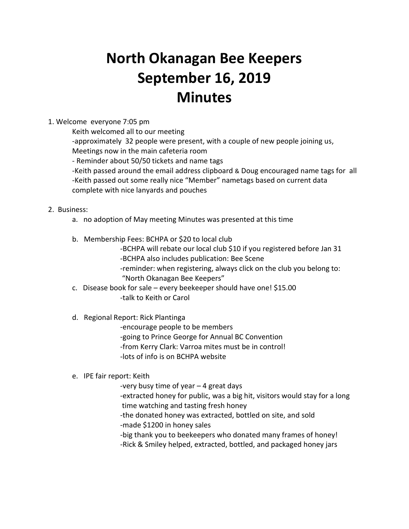# **North Okanagan Bee Keepers September 16, 2019 Minutes**

#### 1. Welcome everyone 7:05 pm

Keith welcomed all to our meeting

-approximately 32 people were present, with a couple of new people joining us, Meetings now in the main cafeteria room

- Reminder about 50/50 tickets and name tags

-Keith passed around the email address clipboard & Doug encouraged name tags for all -Keith passed out some really nice "Member" nametags based on current data complete with nice lanyards and pouches

## 2. Business:

- a. no adoption of May meeting Minutes was presented at this time
- b. Membership Fees: BCHPA or \$20 to local club

-BCHPA will rebate our local club \$10 if you registered before Jan 31 -BCHPA also includes publication: Bee Scene

-reminder: when registering, always click on the club you belong to: "North Okanagan Bee Keepers"

c. Disease book for sale – every beekeeper should have one! \$15.00 -talk to Keith or Carol

## d. Regional Report: Rick Plantinga

-encourage people to be members

-going to Prince George for Annual BC Convention

-from Kerry Clark: Varroa mites must be in control!

-lots of info is on BCHPA website

## e. IPE fair report: Keith

-very busy time of year – 4 great days

-extracted honey for public, was a big hit, visitors would stay for a long time watching and tasting fresh honey

-the donated honey was extracted, bottled on site, and sold

-made \$1200 in honey sales

-big thank you to beekeepers who donated many frames of honey!

-Rick & Smiley helped, extracted, bottled, and packaged honey jars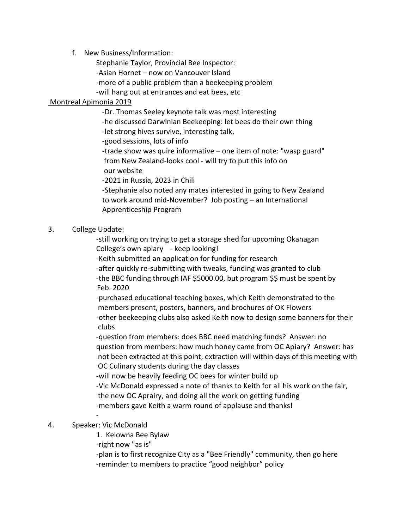f. New Business/Information:

Stephanie Taylor, Provincial Bee Inspector: -Asian Hornet – now on Vancouver Island -more of a public problem than a beekeeping problem -will hang out at entrances and eat bees, etc

### Montreal Apimonia 2019

-Dr. Thomas Seeley keynote talk was most interesting

-he discussed Darwinian Beekeeping: let bees do their own thing

-let strong hives survive, interesting talk,

-good sessions, lots of info

-trade show was quire informative – one item of note: "wasp guard" from New Zealand-looks cool - will try to put this info on our website

-2021 in Russia, 2023 in Chili

-Stephanie also noted any mates interested in going to New Zealand to work around mid-November? Job posting – an International Apprenticeship Program

#### 3. College Update:

-still working on trying to get a storage shed for upcoming Okanagan College's own apiary - keep looking!

-Keith submitted an application for funding for research

-after quickly re-submitting with tweaks, funding was granted to club -the BBC funding through IAF \$5000.00, but program \$\$ must be spent by Feb. 2020

-purchased educational teaching boxes, which Keith demonstrated to the members present, posters, banners, and brochures of OK Flowers -other beekeeping clubs also asked Keith now to design some banners for their clubs

-question from members: does BBC need matching funds? Answer: no question from members: how much honey came from OC Apiary? Answer: has not been extracted at this point, extraction will within days of this meeting with OC Culinary students during the day classes

-will now be heavily feeding OC bees for winter build up -Vic McDonald expressed a note of thanks to Keith for all his work on the fair, the new OC Aprairy, and doing all the work on getting funding -members gave Keith a warm round of applause and thanks!

#### - 4. Speaker: Vic McDonald

1. Kelowna Bee Bylaw

-right now "as is"

-plan is to first recognize City as a "Bee Friendly" community, then go here -reminder to members to practice "good neighbor" policy